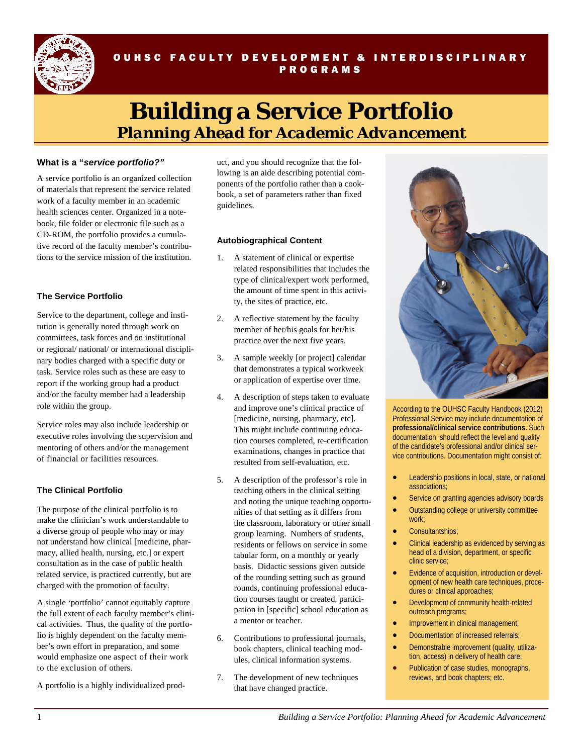

# OUHSC FACULTY DEVELOPMENT & INTERDISCIPLINARY PROGRAMS

# **Building a Service Portfolio**  *Planning Ahead for Academic Advancement*

### **What is a "***service portfolio?"*

A service portfolio is an organized collection of materials that represent the service related work of a faculty member in an academic health sciences center. Organized in a notebook, file folder or electronic file such as a CD-ROM, the portfolio provides a cumulative record of the faculty member's contributions to the service mission of the institution.

## **The Service Portfolio**

Service to the department, college and institution is generally noted through work on committees, task forces and on institutional or regional/ national/ or international disciplinary bodies charged with a specific duty or task. Service roles such as these are easy to report if the working group had a product and/or the faculty member had a leadership role within the group.

Service roles may also include leadership or executive roles involving the supervision and mentoring of others and/or the management of financial or facilities resources.

#### **The Clinical Portfolio**

The purpose of the clinical portfolio is to make the clinician's work understandable to a diverse group of people who may or may not understand how clinical [medicine, pharmacy, allied health, nursing, etc.] or expert consultation as in the case of public health related service, is practiced currently, but are charged with the promotion of faculty.

A single 'portfolio' cannot equitably capture the full extent of each faculty member's clinical activities. Thus, the quality of the portfolio is highly dependent on the faculty member's own effort in preparation, and some would emphasize one aspect of their work to the exclusion of others.

A portfolio is a highly individualized prod-

uct, and you should recognize that the following is an aide describing potential components of the portfolio rather than a cookbook, a set of parameters rather than fixed guidelines.

#### **Autobiographical Content**

- 1. A statement of clinical or expertise related responsibilities that includes the type of clinical/expert work performed, the amount of time spent in this activity, the sites of practice, etc.
- 2. A reflective statement by the faculty member of her/his goals for her/his practice over the next five years.
- 3. A sample weekly [or project] calendar that demonstrates a typical workweek or application of expertise over time.
- 4. A description of steps taken to evaluate and improve one's clinical practice of [medicine, nursing, pharmacy, etc]. This might include continuing education courses completed, re-certification examinations, changes in practice that resulted from self-evaluation, etc.
- 5. A description of the professor's role in teaching others in the clinical setting and noting the unique teaching opportunities of that setting as it differs from the classroom, laboratory or other small group learning. Numbers of students, residents or fellows on service in some tabular form, on a monthly or yearly basis. Didactic sessions given outside of the rounding setting such as ground rounds, continuing professional education courses taught or created, participation in [specific] school education as a mentor or teacher.
- 6. Contributions to professional journals, book chapters, clinical teaching modules, clinical information systems.
- 7. The development of new techniques that have changed practice.



According to the OUHSC Faculty Handbook (2012) Professional Service may include documentation of **professional/clinical service contributions.** Such documentation should reflect the level and quality of the candidate's professional and/or clinical service contributions. Documentation might consist of:

- **•** Leadership positions in local, state, or national associations;
- **•** Service on granting agencies advisory boards
- Outstanding college or university committee work;
- Consultantships;
- Clinical leadership as evidenced by serving as head of a division, department, or specific clinic service;
- Evidence of acquisition, introduction or development of new health care techniques, procedures or clinical approaches;
- Development of community health-related outreach programs;
- Improvement in clinical management;
- Documentation of increased referrals;
- Demonstrable improvement (quality, utilization, access) in delivery of health care;
- Publication of case studies, monographs, reviews, and book chapters; etc.